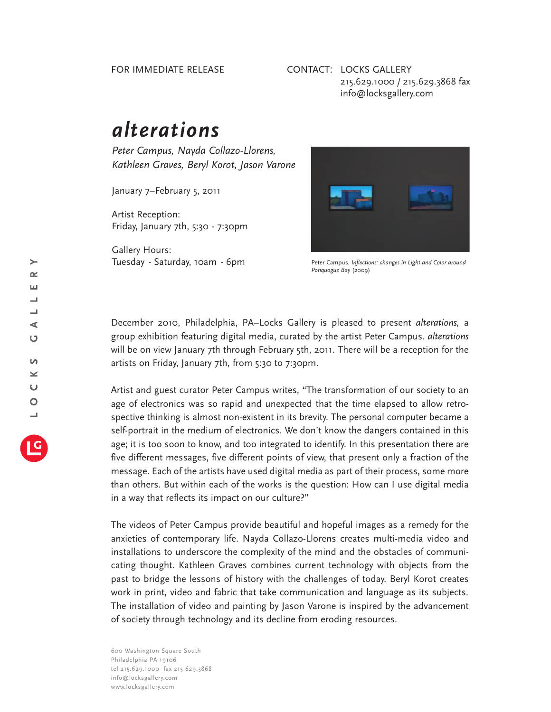## FOR IMMEDIATE RELEASE

## CONTACT: LOCKS GALLERY 215.629.1000 / 215.629.3868 fax info@locksgallery.com

## *alterations*

*Peter Campus, Nayda Collazo-Llorens, Kathleen Graves, Beryl Korot, Jason Varone*

January 7–February 5, 2011

Artist Reception: Friday, January 7th, 5:30 - 7:30pm

Gallery Hours: Tuesday - Saturday, 10am - 6pm



Peter Campus, *Inflections: changes in Light and Color around Ponquogue Bay* (2009)

December 2010, Philadelphia, PA–Locks Gallery is pleased to present *alterations,* a group exhibition featuring digital media, curated by the artist Peter Campus*. alterations* will be on view January 7th through February 5th, 2011. There will be a reception for the artists on Friday, January 7th, from 5:30 to 7:30pm.

Artist and guest curator Peter Campus writes, "The transformation of our society to an age of electronics was so rapid and unexpected that the time elapsed to allow retrospective thinking is almost non-existent in its brevity. The personal computer became a self-portrait in the medium of electronics. We don't know the dangers contained in this age; it is too soon to know, and too integrated to identify. In this presentation there are five different messages, five different points of view, that present only a fraction of the message. Each of the artists have used digital media as part of their process, some more than others. But within each of the works is the question: How can I use digital media in a way that reflects its impact on our culture?"

The videos of Peter Campus provide beautiful and hopeful images as a remedy for the anxieties of contemporary life. Nayda Collazo-Llorens creates multi-media video and installations to underscore the complexity of the mind and the obstacles of communicating thought. Kathleen Graves combines current technology with objects from the past to bridge the lessons of history with the challenges of today. Beryl Korot creates work in print, video and fabric that take communication and language as its subjects. The installation of video and painting by Jason Varone is inspired by the advancement of society through technology and its decline from eroding resources.

600 Washington Square South Philadelphia PA 19106 tel 215.629.1000 fax 215.629.3868 info@locksgallery.com www.locksgallery.com